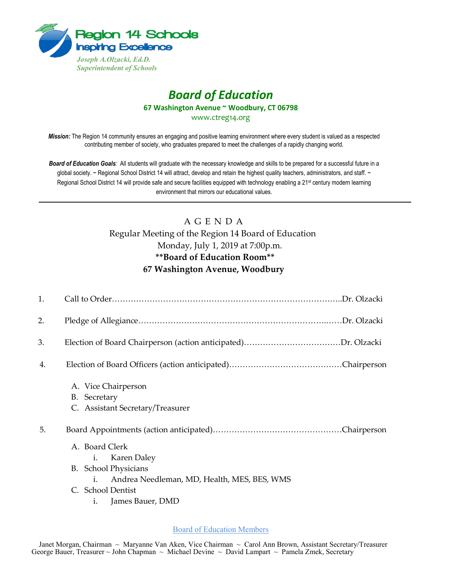

## *Board of Education* **67 Washington Avenue ~ Woodbury, CT 06798**

www.ctreg14.org

*Mission:* The Region 14 community ensures an engaging and positive learning environment where every student is valued as a respected contributing member of society, who graduates prepared to meet the challenges of a rapidly changing world.

*Board of Education Goals:* All students will graduate with the necessary knowledge and skills to be prepared for a successful future in a global society. ~ Regional School District 14 will attract, develop and retain the highest quality teachers, administrators, and staff. ~ Regional School District 14 will provide safe and secure facilities equipped with technology enabling a 21<sup>st</sup> century modern learning environment that mirrors our educational values.

## A G E N D A Regular Meeting of the Region 14 Board of Education Monday, July 1, 2019 at 7:00p.m. **\*\*Board of Education Room\*\* 67 Washington Avenue, Woodbury**

| 1. |                                                                         |
|----|-------------------------------------------------------------------------|
| 2. |                                                                         |
| 3. |                                                                         |
| 4. |                                                                         |
|    | A. Vice Chairperson<br>B. Secretary<br>C. Assistant Secretary/Treasurer |
| 5. |                                                                         |
|    | A. Board Clerk<br>Karen Daley<br>$i_{\cdot}$                            |
|    | <b>B.</b> School Physicians                                             |
|    | Andrea Needleman, MD, Health, MES, BES, WMS<br>i.                       |
|    | C. School Dentist                                                       |
|    | James Bauer, DMD<br>i.                                                  |

Board of Education Members